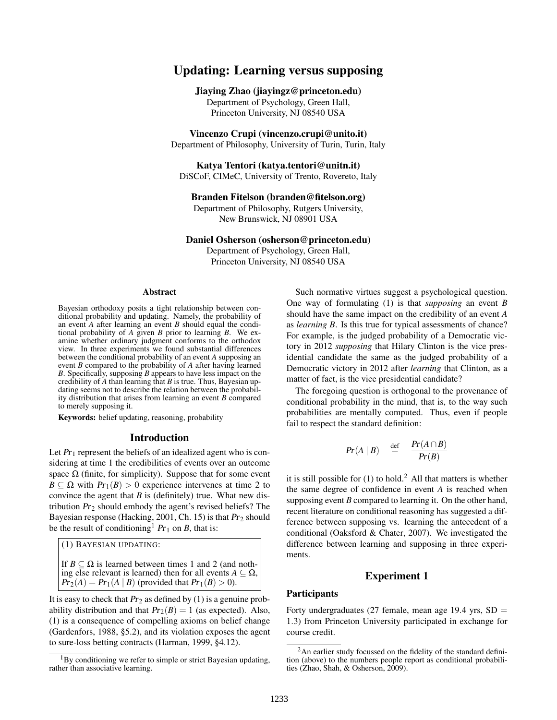# Updating: Learning versus supposing

#### Jiaying Zhao (jiayingz@princeton.edu)

Department of Psychology, Green Hall, Princeton University, NJ 08540 USA

Vincenzo Crupi (vincenzo.crupi@unito.it)

Department of Philosophy, University of Turin, Turin, Italy

#### Katya Tentori (katya.tentori@unitn.it)

DiSCoF, CIMeC, University of Trento, Rovereto, Italy

#### Branden Fitelson (branden@fitelson.org)

Department of Philosophy, Rutgers University, New Brunswick, NJ 08901 USA

#### Daniel Osherson (osherson@princeton.edu)

Department of Psychology, Green Hall, Princeton University, NJ 08540 USA

#### Abstract

Bayesian orthodoxy posits a tight relationship between conditional probability and updating. Namely, the probability of an event *A* after learning an event *B* should equal the conditional probability of *A* given *B* prior to learning *B*. We examine whether ordinary judgment conforms to the orthodox view. In three experiments we found substantial differences between the conditional probability of an event *A* supposing an event *B* compared to the probability of *A* after having learned *B*. Specifically, supposing *B* appears to have less impact on the credibility of *A* than learning that *B* is true. Thus, Bayesian updating seems not to describe the relation between the probability distribution that arises from learning an event *B* compared to merely supposing it.

Keywords: belief updating, reasoning, probability

#### Introduction

Let  $Pr_1$  represent the beliefs of an idealized agent who is considering at time 1 the credibilities of events over an outcome space  $\Omega$  (finite, for simplicity). Suppose that for some event  $B \subseteq \Omega$  with  $Pr_1(B) > 0$  experience intervenes at time 2 to convince the agent that  $B$  is (definitely) true. What new distribution  $Pr_2$  should embody the agent's revised beliefs? The Bayesian response (Hacking, 2001, Ch. 15) is that  $Pr<sub>2</sub>$  should be the result of conditioning<sup>1</sup>  $Pr_1$  on *B*, that is:

(1) BAYESIAN UPDATING:

If  $B \subseteq \Omega$  is learned between times 1 and 2 (and nothing else relevant is learned) then for all events  $A \subseteq \Omega$ ,  $Pr_2(A) = Pr_1(A | B)$  (provided that  $Pr_1(B) > 0$ ).

It is easy to check that  $Pr_2$  as defined by (1) is a genuine probability distribution and that  $Pr_2(B) = 1$  (as expected). Also, (1) is a consequence of compelling axioms on belief change (Gardenfors, 1988, §5.2), and its violation exposes the agent to sure-loss betting contracts (Harman, 1999, §4.12).

Such normative virtues suggest a psychological question. One way of formulating (1) is that *supposing* an event *B* should have the same impact on the credibility of an event *A* as *learning B*. Is this true for typical assessments of chance? For example, is the judged probability of a Democratic victory in 2012 *supposing* that Hilary Clinton is the vice presidential candidate the same as the judged probability of a Democratic victory in 2012 after *learning* that Clinton, as a matter of fact, is the vice presidential candidate?

The foregoing question is orthogonal to the provenance of conditional probability in the mind, that is, to the way such probabilities are mentally computed. Thus, even if people fail to respect the standard definition:

$$
Pr(A | B) \stackrel{\text{def}}{=} \frac{Pr(A \cap B)}{Pr(B)}
$$

it is still possible for  $(1)$  to hold.<sup>2</sup> All that matters is whether the same degree of confidence in event *A* is reached when supposing event *B* compared to learning it. On the other hand, recent literature on conditional reasoning has suggested a difference between supposing vs. learning the antecedent of a conditional (Oaksford & Chater, 2007). We investigated the difference between learning and supposing in three experiments.

#### Experiment 1

### Participants

Forty undergraduates (27 female, mean age 19.4 yrs,  $SD =$ 1.3) from Princeton University participated in exchange for course credit.

 ${}^{1}$ By conditioning we refer to simple or strict Bayesian updating, rather than associative learning.

 $2$ An earlier study focussed on the fidelity of the standard definition (above) to the numbers people report as conditional probabilities (Zhao, Shah, & Osherson, 2009).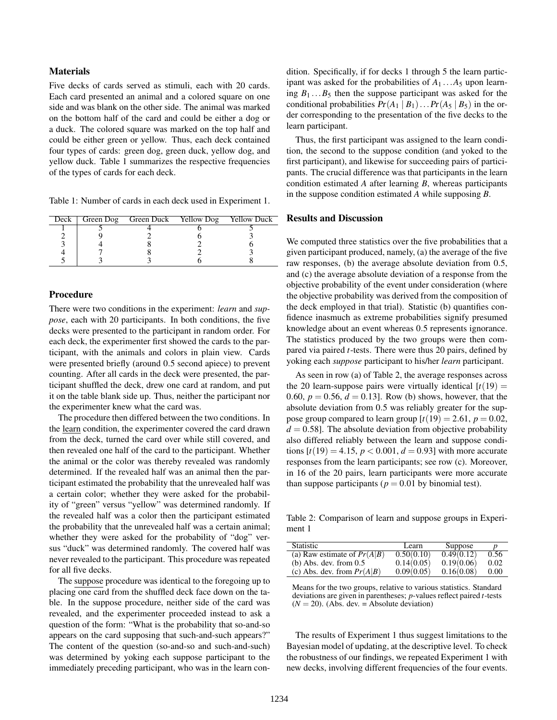### **Materials**

Five decks of cards served as stimuli, each with 20 cards. Each card presented an animal and a colored square on one side and was blank on the other side. The animal was marked on the bottom half of the card and could be either a dog or a duck. The colored square was marked on the top half and could be either green or yellow. Thus, each deck contained four types of cards: green dog, green duck, yellow dog, and yellow duck. Table 1 summarizes the respective frequencies of the types of cards for each deck.

Table 1: Number of cards in each deck used in Experiment 1.

| Deck | Green Dog Green Duck Yellow Dog Yellow Duck |  |
|------|---------------------------------------------|--|
|      |                                             |  |
|      |                                             |  |
|      |                                             |  |
|      |                                             |  |
|      |                                             |  |

### Procedure

There were two conditions in the experiment: *learn* and *suppose*, each with 20 participants. In both conditions, the five decks were presented to the participant in random order. For each deck, the experimenter first showed the cards to the participant, with the animals and colors in plain view. Cards were presented briefly (around 0.5 second apiece) to prevent counting. After all cards in the deck were presented, the participant shuffled the deck, drew one card at random, and put it on the table blank side up. Thus, neither the participant nor the experimenter knew what the card was.

The procedure then differed between the two conditions. In the learn condition, the experimenter covered the card drawn from the deck, turned the card over while still covered, and then revealed one half of the card to the participant. Whether the animal or the color was thereby revealed was randomly determined. If the revealed half was an animal then the participant estimated the probability that the unrevealed half was a certain color; whether they were asked for the probability of "green" versus "yellow" was determined randomly. If the revealed half was a color then the participant estimated the probability that the unrevealed half was a certain animal; whether they were asked for the probability of "dog" versus "duck" was determined randomly. The covered half was never revealed to the participant. This procedure was repeated for all five decks.

The suppose procedure was identical to the foregoing up to placing one card from the shuffled deck face down on the table. In the suppose procedure, neither side of the card was revealed, and the experimenter proceeded instead to ask a question of the form: "What is the probability that so-and-so appears on the card supposing that such-and-such appears?" The content of the question (so-and-so and such-and-such) was determined by yoking each suppose participant to the immediately preceding participant, who was in the learn condition. Specifically, if for decks 1 through 5 the learn participant was asked for the probabilities of  $A_1 \dots A_5$  upon learning  $B_1 \ldots B_5$  then the suppose participant was asked for the conditional probabilities  $Pr(A_1 | B_1) \dots Pr(A_5 | B_5)$  in the order corresponding to the presentation of the five decks to the learn participant.

Thus, the first participant was assigned to the learn condition, the second to the suppose condition (and yoked to the first participant), and likewise for succeeding pairs of participants. The crucial difference was that participants in the learn condition estimated *A* after learning *B*, whereas participants in the suppose condition estimated *A* while supposing *B*.

#### Results and Discussion

We computed three statistics over the five probabilities that a given participant produced, namely, (a) the average of the five raw responses, (b) the average absolute deviation from 0.5, and (c) the average absolute deviation of a response from the objective probability of the event under consideration (where the objective probability was derived from the composition of the deck employed in that trial). Statistic (b) quantifies confidence inasmuch as extreme probabilities signify presumed knowledge about an event whereas 0.5 represents ignorance. The statistics produced by the two groups were then compared via paired *t*-tests. There were thus 20 pairs, defined by yoking each *suppose* participant to his/her *learn* participant.

As seen in row (a) of Table 2, the average responses across the 20 learn-suppose pairs were virtually identical  $[t(19) =$ 0.60,  $p = 0.56$ ,  $d = 0.13$ . Row (b) shows, however, that the absolute deviation from 0.5 was reliably greater for the suppose group compared to learn group  $[t(19) = 2.61, p = 0.02]$ ,  $d = 0.58$ . The absolute deviation from objective probability also differed reliably between the learn and suppose conditions  $[t(19) = 4.15, p < 0.001, d = 0.93]$  with more accurate responses from the learn participants; see row (c). Moreover, in 16 of the 20 pairs, learn participants were more accurate than suppose participants ( $p = 0.01$  by binomial test).

Table 2: Comparison of learn and suppose groups in Experiment 1

| <b>Statistic</b>              | Learn      | Suppose    |      |
|-------------------------------|------------|------------|------|
| (a) Raw estimate of $Pr(A B)$ | 0.50(0.10) | 0.49(0.12) | 0.56 |
| (b) Abs. dev. from $0.5$      | 0.14(0.05) | 0.19(0.06) | 0.02 |
| (c) Abs. dev. from $Pr(A B)$  | 0.09(0.05) | 0.16(0.08) | 0.00 |

Means for the two groups, relative to various statistics. Standard deviations are given in parentheses; *p*-values reflect paired *t*-tests  $(N = 20)$ . (Abs. dev. = Absolute deviation)

The results of Experiment 1 thus suggest limitations to the Bayesian model of updating, at the descriptive level. To check the robustness of our findings, we repeated Experiment 1 with new decks, involving different frequencies of the four events.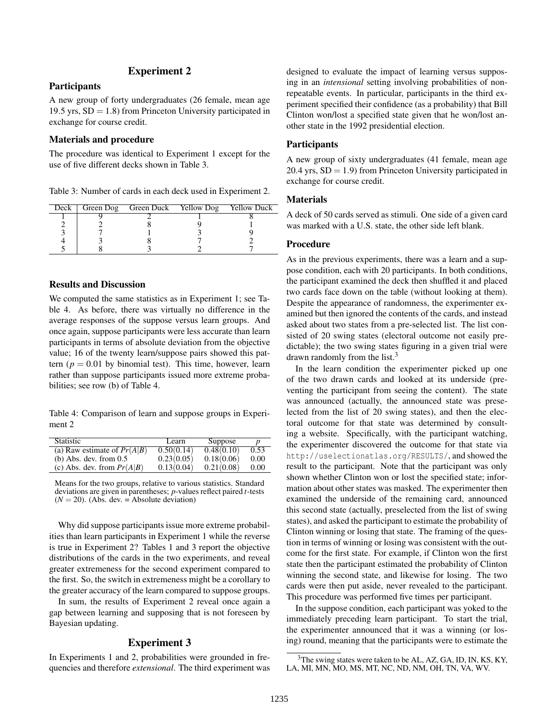## Experiment 2

### **Participants**

A new group of forty undergraduates (26 female, mean age 19.5 yrs,  $SD = 1.8$ ) from Princeton University participated in exchange for course credit.

## Materials and procedure

The procedure was identical to Experiment 1 except for the use of five different decks shown in Table 3.

Table 3: Number of cards in each deck used in Experiment 2.

|  | Deck   Green Dog Green Duck Yellow Dog Yellow Duck |  |
|--|----------------------------------------------------|--|
|  |                                                    |  |
|  |                                                    |  |
|  |                                                    |  |
|  |                                                    |  |
|  |                                                    |  |

### Results and Discussion

We computed the same statistics as in Experiment 1; see Table 4. As before, there was virtually no difference in the average responses of the suppose versus learn groups. And once again, suppose participants were less accurate than learn participants in terms of absolute deviation from the objective value; 16 of the twenty learn/suppose pairs showed this pattern ( $p = 0.01$  by binomial test). This time, however, learn rather than suppose participants issued more extreme probabilities; see row (b) of Table 4.

Table 4: Comparison of learn and suppose groups in Experiment 2

| <b>Statistic</b>              | Learn      | Suppose    |      |
|-------------------------------|------------|------------|------|
| (a) Raw estimate of $Pr(A B)$ | 0.50(0.14) | 0.48(0.10) | 0.53 |
| (b) Abs. dev. from $0.5$      | 0.23(0.05) | 0.18(0.06) | 0.00 |
| (c) Abs. dev. from $Pr(A B)$  | 0.13(0.04) | 0.21(0.08) | 0.00 |

Means for the two groups, relative to various statistics. Standard deviations are given in parentheses; *p*-values reflect paired *t*-tests  $(N = 20)$ . (Abs. dev. = Absolute deviation)

Why did suppose participants issue more extreme probabilities than learn participants in Experiment 1 while the reverse is true in Experiment 2? Tables 1 and 3 report the objective distributions of the cards in the two experiments, and reveal greater extremeness for the second experiment compared to the first. So, the switch in extremeness might be a corollary to the greater accuracy of the learn compared to suppose groups.

In sum, the results of Experiment 2 reveal once again a gap between learning and supposing that is not foreseen by Bayesian updating.

### Experiment 3

In Experiments 1 and 2, probabilities were grounded in frequencies and therefore *extensional*. The third experiment was designed to evaluate the impact of learning versus supposing in an *intensional* setting involving probabilities of nonrepeatable events. In particular, participants in the third experiment specified their confidence (as a probability) that Bill Clinton won/lost a specified state given that he won/lost another state in the 1992 presidential election.

### **Participants**

A new group of sixty undergraduates (41 female, mean age 20.4 yrs,  $SD = 1.9$ ) from Princeton University participated in exchange for course credit.

### **Materials**

A deck of 50 cards served as stimuli. One side of a given card was marked with a U.S. state, the other side left blank.

## Procedure

As in the previous experiments, there was a learn and a suppose condition, each with 20 participants. In both conditions, the participant examined the deck then shuffled it and placed two cards face down on the table (without looking at them). Despite the appearance of randomness, the experimenter examined but then ignored the contents of the cards, and instead asked about two states from a pre-selected list. The list consisted of 20 swing states (electoral outcome not easily predictable); the two swing states figuring in a given trial were drawn randomly from the list. $3$ 

In the learn condition the experimenter picked up one of the two drawn cards and looked at its underside (preventing the participant from seeing the content). The state was announced (actually, the announced state was preselected from the list of 20 swing states), and then the electoral outcome for that state was determined by consulting a website. Specifically, with the participant watching, the experimenter discovered the outcome for that state via http://uselectionatlas.org/RESULTS/, and showed the result to the participant. Note that the participant was only shown whether Clinton won or lost the specified state; information about other states was masked. The experimenter then examined the underside of the remaining card, announced this second state (actually, preselected from the list of swing states), and asked the participant to estimate the probability of Clinton winning or losing that state. The framing of the question in terms of winning or losing was consistent with the outcome for the first state. For example, if Clinton won the first state then the participant estimated the probability of Clinton winning the second state, and likewise for losing. The two cards were then put aside, never revealed to the participant. This procedure was performed five times per participant.

In the suppose condition, each participant was yoked to the immediately preceding learn participant. To start the trial, the experimenter announced that it was a winning (or losing) round, meaning that the participants were to estimate the

 $3$ The swing states were taken to be AL, AZ, GA, ID, IN, KS, KY, LA, MI, MN, MO, MS, MT, NC, ND, NM, OH, TN, VA, WV.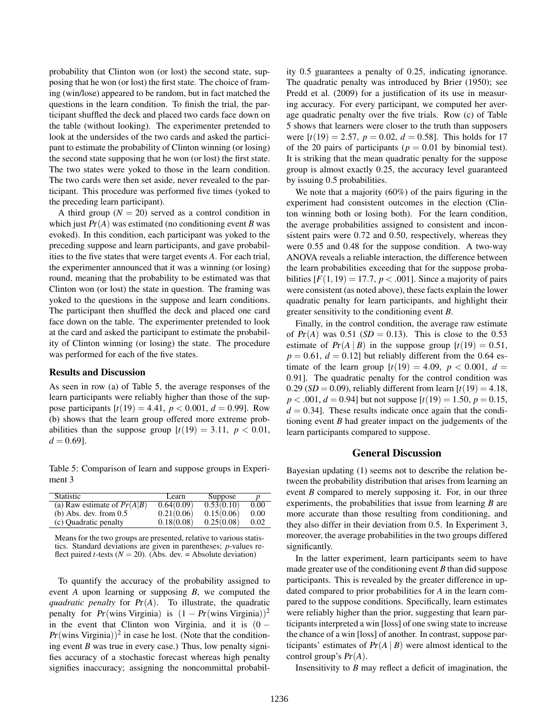probability that Clinton won (or lost) the second state, supposing that he won (or lost) the first state. The choice of framing (win/lose) appeared to be random, but in fact matched the questions in the learn condition. To finish the trial, the participant shuffled the deck and placed two cards face down on the table (without looking). The experimenter pretended to look at the undersides of the two cards and asked the participant to estimate the probability of Clinton winning (or losing) the second state supposing that he won (or lost) the first state. The two states were yoked to those in the learn condition. The two cards were then set aside, never revealed to the participant. This procedure was performed five times (yoked to the preceding learn participant).

A third group  $(N = 20)$  served as a control condition in which just  $Pr(A)$  was estimated (no conditioning event *B* was evoked). In this condition, each participant was yoked to the preceding suppose and learn participants, and gave probabilities to the five states that were target events *A*. For each trial, the experimenter announced that it was a winning (or losing) round, meaning that the probability to be estimated was that Clinton won (or lost) the state in question. The framing was yoked to the questions in the suppose and learn conditions. The participant then shuffled the deck and placed one card face down on the table. The experimenter pretended to look at the card and asked the participant to estimate the probability of Clinton winning (or losing) the state. The procedure was performed for each of the five states.

#### Results and Discussion

As seen in row (a) of Table 5, the average responses of the learn participants were reliably higher than those of the suppose participants  $[t(19) = 4.41, p < 0.001, d = 0.99]$ . Row (b) shows that the learn group offered more extreme probabilities than the suppose group  $[t(19) = 3.11, p < 0.01,$  $d = 0.69$ ].

Table 5: Comparison of learn and suppose groups in Experiment 3

| <b>Statistic</b>              | Learn      | Suppose    | n    |
|-------------------------------|------------|------------|------|
| (a) Raw estimate of $Pr(A B)$ | 0.64(0.09) | 0.53(0.10) | 0.00 |
| $(b)$ Abs. dev. from $0.5$    | 0.21(0.06) | 0.15(0.06) | 0.00 |
| (c) Quadratic penalty         | 0.18(0.08) | 0.25(0.08) | 0.02 |

Means for the two groups are presented, relative to various statistics. Standard deviations are given in parentheses; *p*-values reflect paired *t*-tests ( $N = 20$ ). (Abs. dev. = Absolute deviation)

To quantify the accuracy of the probability assigned to event *A* upon learning or supposing *B*, we computed the *quadratic penalty* for Pr(*A*). To illustrate, the quadratic penalty for Pr(wins Virginia) is  $(1 - Pr(wins Virginia))^2$ in the event that Clinton won Virginia, and it is  $(0 Pr(\text{ wins Virginia})^2$  in case he lost. (Note that the conditioning event *B* was true in every case.) Thus, low penalty signifies accuracy of a stochastic forecast whereas high penalty signifies inaccuracy; assigning the noncommittal probability 0.5 guarantees a penalty of 0.25, indicating ignorance. The quadratic penalty was introduced by Brier (1950); see Predd et al. (2009) for a justification of its use in measuring accuracy. For every participant, we computed her average quadratic penalty over the five trials. Row (c) of Table 5 shows that learners were closer to the truth than supposers were  $[t(19) = 2.57, p = 0.02, d = 0.58]$ . This holds for 17 of the 20 pairs of participants ( $p = 0.01$  by binomial test). It is striking that the mean quadratic penalty for the suppose group is almost exactly 0.25, the accuracy level guaranteed by issuing 0.5 probabilities.

We note that a majority (60%) of the pairs figuring in the experiment had consistent outcomes in the election (Clinton winning both or losing both). For the learn condition, the average probabilities assigned to consistent and inconsistent pairs were 0.72 and 0.50, respectively, whereas they were 0.55 and 0.48 for the suppose condition. A two-way ANOVA reveals a reliable interaction, the difference between the learn probabilities exceeding that for the suppose probabilities  $[F(1,19) = 17.7, p < .001]$ . Since a majority of pairs were consistent (as noted above), these facts explain the lower quadratic penalty for learn participants, and highlight their greater sensitivity to the conditioning event *B*.

Finally, in the control condition, the average raw estimate of  $Pr(A)$  was 0.51 (*SD* = 0.13). This is close to the 0.53 estimate of  $Pr(A | B)$  in the suppose group  $[t(19) = 0.51]$ ,  $p = 0.61$ ,  $d = 0.12$  but reliably different from the 0.64 estimate of the learn group  $[t(19) = 4.09, p < 0.001, d =$ 0.91]. The quadratic penalty for the control condition was 0.29 (*SD* = 0.09), reliably different from learn  $[t(19) = 4.18$ ,  $p < .001$ ,  $d = 0.94$ ] but not suppose  $[t(19) = 1.50, p = 0.15,$  $d = 0.34$ . These results indicate once again that the conditioning event *B* had greater impact on the judgements of the learn participants compared to suppose.

#### General Discussion

Bayesian updating (1) seems not to describe the relation between the probability distribution that arises from learning an event *B* compared to merely supposing it. For, in our three experiments, the probabilities that issue from learning *B* are more accurate than those resulting from conditioning, and they also differ in their deviation from 0.5. In Experiment 3, moreover, the average probabilities in the two groups differed significantly.

In the latter experiment, learn participants seem to have made greater use of the conditioning event *B* than did suppose participants. This is revealed by the greater difference in updated compared to prior probabilities for *A* in the learn compared to the suppose conditions. Specifically, learn estimates were reliably higher than the prior, suggesting that learn participants interpreted a win [loss] of one swing state to increase the chance of a win [loss] of another. In contrast, suppose participants' estimates of  $Pr(A | B)$  were almost identical to the control group's Pr(*A*).

Insensitivity to *B* may reflect a deficit of imagination, the